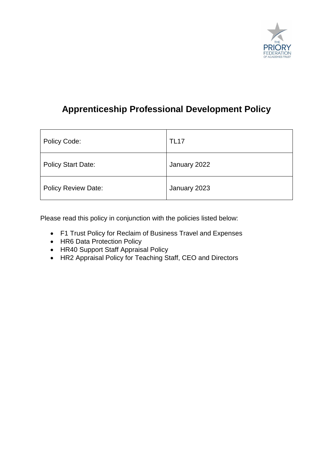

## **Apprenticeship Professional Development Policy**

| Policy Code:               | <b>TL17</b>  |
|----------------------------|--------------|
| <b>Policy Start Date:</b>  | January 2022 |
| <b>Policy Review Date:</b> | January 2023 |

Please read this policy in conjunction with the policies listed below:

- F1 Trust Policy for Reclaim of Business Travel and Expenses
- HR6 Data Protection Policy
- HR40 Support Staff Appraisal Policy
- HR2 Appraisal Policy for Teaching Staff, CEO and Directors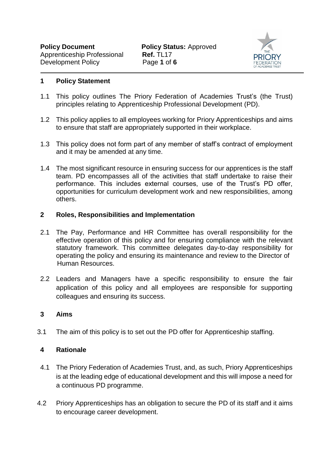

#### **1 Policy Statement**

- 1.1 This policy outlines The Priory Federation of Academies Trust's (the Trust) principles relating to Apprenticeship Professional Development (PD).
- 1.2 This policy applies to all employees working for Priory Apprenticeships and aims to ensure that staff are appropriately supported in their workplace.
- 1.3 This policy does not form part of any member of staff's contract of employment and it may be amended at any time.
- 1.4 The most significant resource in ensuring success for our apprentices is the staff team. PD encompasses all of the activities that staff undertake to raise their performance. This includes external courses, use of the Trust's PD offer, opportunities for curriculum development work and new responsibilities, among others.

#### **2 Roles, Responsibilities and Implementation**

- 2.1 The Pay, Performance and HR Committee has overall responsibility for the effective operation of this policy and for ensuring compliance with the relevant statutory framework. This committee delegates day-to-day responsibility for operating the policy and ensuring its maintenance and review to the Director of Human Resources.
- 2.2 Leaders and Managers have a specific responsibility to ensure the fair application of this policy and all employees are responsible for supporting colleagues and ensuring its success.

#### **3 Aims**

3.1 The aim of this policy is to set out the PD offer for Apprenticeship staffing.

### **4 Rationale**

- 4.1 The Priory Federation of Academies Trust, and, as such, Priory Apprenticeships is at the leading edge of educational development and this will impose a need for a continuous PD programme.
- 4.2 Priory Apprenticeships has an obligation to secure the PD of its staff and it aims to encourage career development.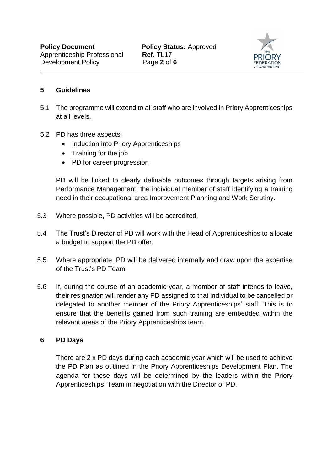

## **5 Guidelines**

- 5.1 The programme will extend to all staff who are involved in Priory Apprenticeships at all levels.
- 5.2 PD has three aspects:
	- Induction into Priory Apprenticeships
	- Training for the job
	- PD for career progression

PD will be linked to clearly definable outcomes through targets arising from Performance Management, the individual member of staff identifying a training need in their occupational area Improvement Planning and Work Scrutiny.

- 5.3 Where possible, PD activities will be accredited.
- 5.4 The Trust's Director of PD will work with the Head of Apprenticeships to allocate a budget to support the PD offer.
- 5.5 Where appropriate, PD will be delivered internally and draw upon the expertise of the Trust's PD Team.
- 5.6 If, during the course of an academic year, a member of staff intends to leave, their resignation will render any PD assigned to that individual to be cancelled or delegated to another member of the Priory Apprenticeships' staff. This is to ensure that the benefits gained from such training are embedded within the relevant areas of the Priory Apprenticeships team.

### **6 PD Days**

There are 2 x PD days during each academic year which will be used to achieve the PD Plan as outlined in the Priory Apprenticeships Development Plan. The agenda for these days will be determined by the leaders within the Priory Apprenticeships' Team in negotiation with the Director of PD.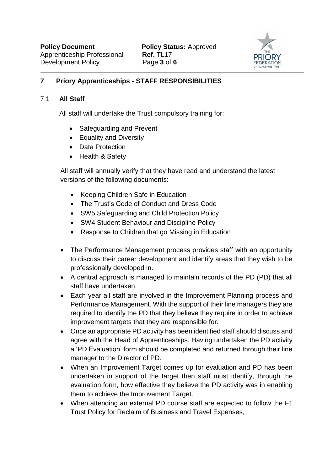

## **7 Priory Apprenticeships - STAFF RESPONSIBILITIES**

### 7.1 **All Staff**

All staff will undertake the Trust compulsory training for:

- Safeguarding and Prevent
- Equality and Diversity
- Data Protection
- Health & Safety

All staff will annually verify that they have read and understand the latest versions of the following documents:

- Keeping Children Safe in Education
- The Trust's Code of Conduct and Dress Code
- SW5 Safeguarding and Child Protection Policy
- SW4 Student Behaviour and Discipline Policy
- Response to Children that go Missing in Education
- The Performance Management process provides staff with an opportunity to discuss their career development and identify areas that they wish to be professionally developed in.
- A central approach is managed to maintain records of the PD (PD) that all staff have undertaken.
- Each year all staff are involved in the Improvement Planning process and Performance Management. With the support of their line managers they are required to identify the PD that they believe they require in order to achieve improvement targets that they are responsible for.
- Once an appropriate PD activity has been identified staff should discuss and agree with the Head of Apprenticeships. Having undertaken the PD activity a 'PD Evaluation' form should be completed and returned through their line manager to the Director of PD.
- When an Improvement Target comes up for evaluation and PD has been undertaken in support of the target then staff must identify, through the evaluation form, how effective they believe the PD activity was in enabling them to achieve the Improvement Target.
- When attending an external PD course staff are expected to follow the F1 Trust Policy for Reclaim of Business and Travel Expenses,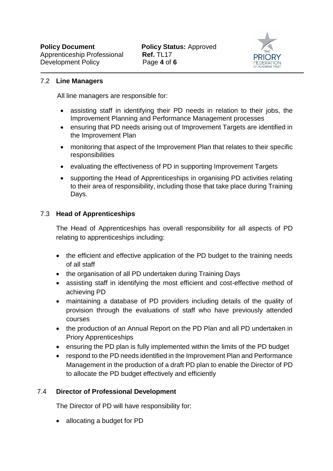

## 7.2 **Line Managers**

All line managers are responsible for:

- assisting staff in identifying their PD needs in relation to their jobs, the Improvement Planning and Performance Management processes
- ensuring that PD needs arising out of Improvement Targets are identified in the Improvement Plan
- monitoring that aspect of the Improvement Plan that relates to their specific responsibilities
- evaluating the effectiveness of PD in supporting Improvement Targets
- supporting the Head of Apprenticeships in organising PD activities relating to their area of responsibility, including those that take place during Training Days.

## 7.3 **Head of Apprenticeships**

The Head of Apprenticeships has overall responsibility for all aspects of PD relating to apprenticeships including:

- the efficient and effective application of the PD budget to the training needs of all staff
- the organisation of all PD undertaken during Training Days
- assisting staff in identifying the most efficient and cost-effective method of achieving PD
- maintaining a database of PD providers including details of the quality of provision through the evaluations of staff who have previously attended courses
- the production of an Annual Report on the PD Plan and all PD undertaken in Priory Apprenticeships
- ensuring the PD plan is fully implemented within the limits of the PD budget
- respond to the PD needs identified in the Improvement Plan and Performance Management in the production of a draft PD plan to enable the Director of PD to allocate the PD budget effectively and efficiently

## 7.4 **Director of Professional Development**

The Director of PD will have responsibility for:

• allocating a budget for PD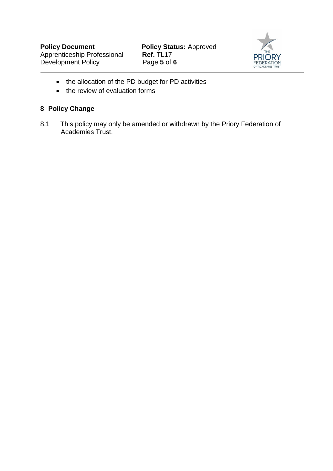

- the allocation of the PD budget for PD activities
- the review of evaluation forms

## **8 Policy Change**

8.1 This policy may only be amended or withdrawn by the Priory Federation of Academies Trust.